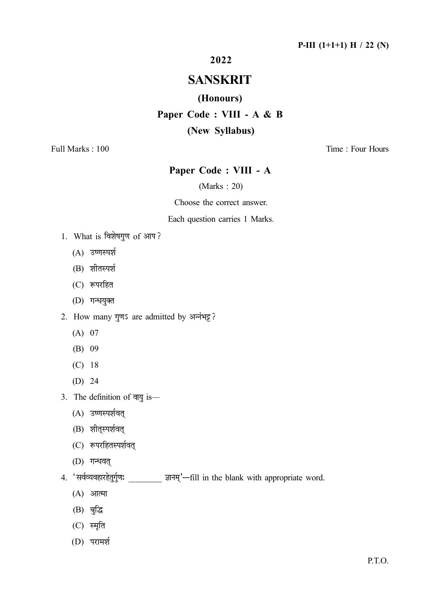### 2022

# SANSKRIT

### (Honours)

## Paper Code : VIII - A & B

### (New Syllabus)

Full Marks : 100 Time : Four Hours

### Paper Code : VIII - A

### (Marks : 20)

Choose the correct answer.

#### Each question carries 1 Marks.

- 1. What is विशेषगुण of आप?
	- (A)
	- (B) शीतस्पर्श
	- (C) रूपरहित
	- (D)
- 2. How many गुणऽ are admitted by अन्नंभट्ट?
	- (A) 07
	- (B) 09
	- (C) 18
	- (D) 24
- 3. The definition of वायु is-
	- (A)
	- (B) शीत्स्पर्शवत्
	- (C) रूपरहितस्पर्शवत्
	- (D)
- 4. 'सर्वव्यवहारहेर्तुर्गुण: ज्ञानम्'—fill in the blank with appropriate word.
	- (A) आत्मा
	- $(B)$  बुद्धि
	- (C) स्मृति
	- (D)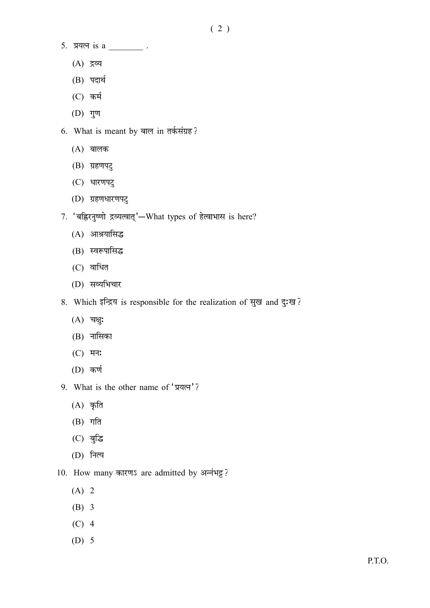- $5.$  प्रयत्न is a  $\frac{1}{1}$ .
	- (A)
	- (B) पदार्थ
	- (C)
	- (D)
- 6. What is meant by बाल in तर्कसंग्रह?
	- (A) बालक
	- (B) ग्रहणपटु
	- (C) धारणपटु
	- (D)
- 7. 'बह्लिरनुष्णो द्रव्यत्वात्'-What types of हेत्वाभास is here?
	- (A) आश्रयासिद्ध
	- (B) स्वरूपासिद्ध
	- (C) वाधित
	- (D)
- 8. Which इन्द्रिय is responsible for the realization of सुख and दुःख?
	- $(A)$  चक्षुः
	- (B)
	- (C) मनः
	- (D)
- 9. What is the other name of
	- $(A)$  कृति
	- $(B)$  गति
	- (C)
	- (D)
- 10. How many कारणऽ are admitted by अन्नंभट्ट?
	- (A) 2
	- (B) 3
	- (C) 4
	- (D) 5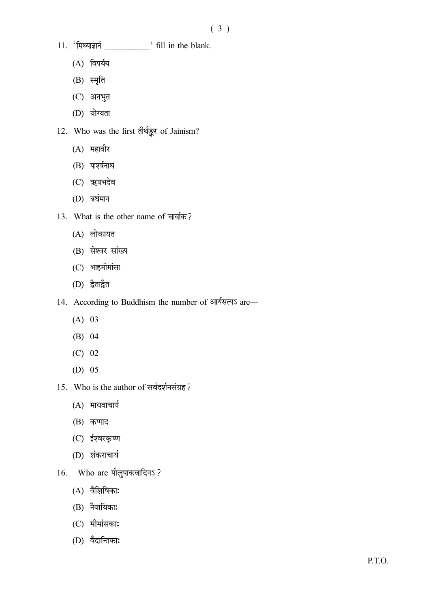- 11.  $'$  मिथ्याज्ञानं $\frac{1}{2}$  fill in the blank.
	- (A)
	- (B)
	- (C) अनभुत
	- (D) योग्यता
- 12. Who was the first तीर्थंङ्कर of Jainism?
	- $(A)$  महावीर
	- (B) पार्श्वनाथ
	- (C) ऋषभदेव
	- (D)
- 13. What is the other name of
	- (A)
	- (B) सेश्वर सांख्य
	- (C) भाहमीमांसा
	- (D) द्वैताद्वैत
- 14. According to Buddhism the number of आर्यसत्यऽ are-
	- (A) 03
	- (B) 04
	- (C) 02
	- (D) 05
- 15. Who is the author of सर्वदर्शनसंग्रह?
	- (A)
	- (B)
	- (C)
	- (D)
- 16. Who are पीलुपाकवादिनऽ?
	- (A) वैशिषिका:
	- (B) नैयायिका:
	- (C)
	- (D)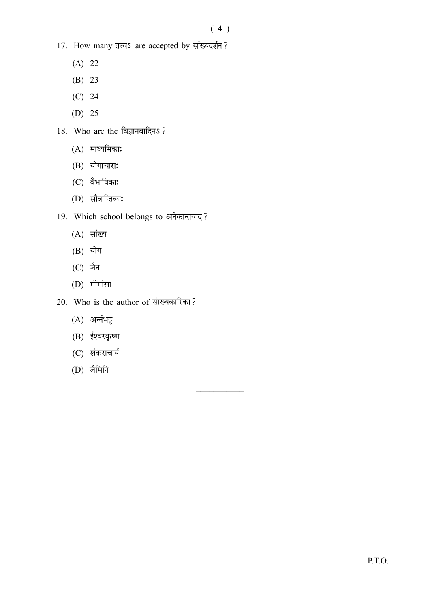- 17. How many तत्त्वऽ are accepted by सांख्यदर्शन ?
	- (A) 22
	- (B) 23
	- (C) 24
	- (D) 25
- 18. Who are the
	- $(A)$  माध्यमिकाः
	- (B) योगाचारा:
	- (C) वैभाषिकाः
	- (D)
- 19. Which school belongs to
	- (A) सांख्य
	- (B) योग
	- $(C)$  जैन
	- (D)
- 20. Who is the author of
	- (A)
	- (B)
	- (C)
	- (D)